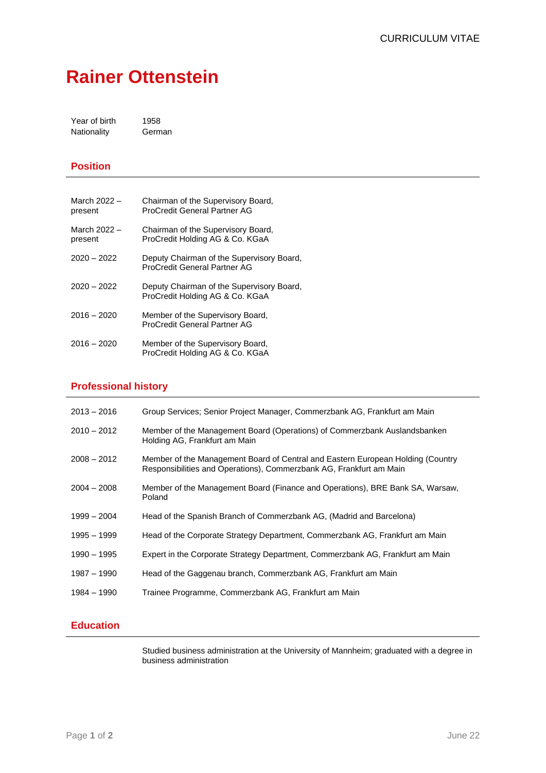# **Rainer Ottenstein**

Year of birth 1958 Nationality German

### **Position**

| March 2022 -<br>present | Chairman of the Supervisory Board,<br>ProCredit General Partner AG           |
|-------------------------|------------------------------------------------------------------------------|
| March 2022 -<br>present | Chairman of the Supervisory Board,<br>ProCredit Holding AG & Co. KGaA        |
| $2020 - 2022$           | Deputy Chairman of the Supervisory Board,<br>ProCredit General Partner AG    |
| $2020 - 2022$           | Deputy Chairman of the Supervisory Board,<br>ProCredit Holding AG & Co. KGaA |
| $2016 - 2020$           | Member of the Supervisory Board,<br>ProCredit General Partner AG             |
| $2016 - 2020$           | Member of the Supervisory Board,<br>ProCredit Holding AG & Co. KGaA          |

#### **Professional history**

| $2013 - 2016$ | Group Services; Senior Project Manager, Commerzbank AG, Frankfurt am Main                                                                              |
|---------------|--------------------------------------------------------------------------------------------------------------------------------------------------------|
| $2010 - 2012$ | Member of the Management Board (Operations) of Commerzbank Auslandsbanken<br>Holding AG, Frankfurt am Main                                             |
| $2008 - 2012$ | Member of the Management Board of Central and Eastern European Holding (Country<br>Responsibilities and Operations), Commerzbank AG, Frankfurt am Main |
| $2004 - 2008$ | Member of the Management Board (Finance and Operations), BRE Bank SA, Warsaw,<br>Poland                                                                |
| $1999 - 2004$ | Head of the Spanish Branch of Commerzbank AG, (Madrid and Barcelona)                                                                                   |
| 1995 - 1999   | Head of the Corporate Strategy Department, Commerzbank AG, Frankfurt am Main                                                                           |
| 1990 - 1995   | Expert in the Corporate Strategy Department, Commerzbank AG, Frankfurt am Main                                                                         |
| 1987 - 1990   | Head of the Gaggenau branch, Commerzbank AG, Frankfurt am Main                                                                                         |
| 1984 - 1990   | Trainee Programme, Commerzbank AG, Frankfurt am Main                                                                                                   |
|               |                                                                                                                                                        |

# **Education**

Studied business administration at the University of Mannheim; graduated with a degree in business administration